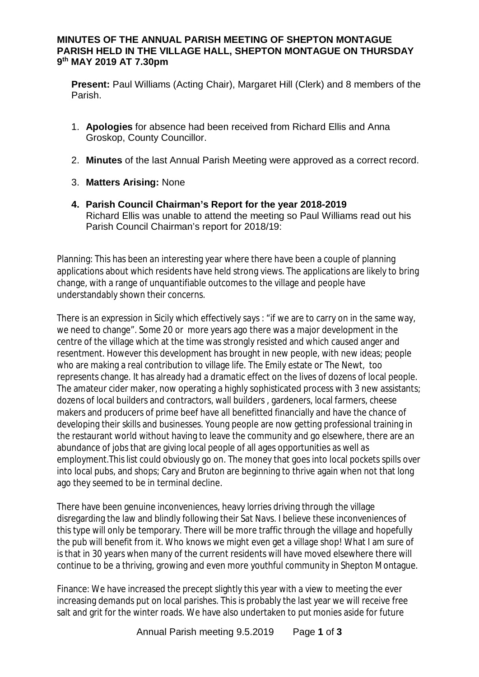## **MINUTES OF THE ANNUAL PARISH MEETING OF SHEPTON MONTAGUE PARISH HELD IN THE VILLAGE HALL, SHEPTON MONTAGUE ON THURSDAY 9 th MAY 2019 AT 7.30pm**

**Present:** Paul Williams (Acting Chair), Margaret Hill (Clerk) and 8 members of the Parish.

- 1. **Apologies** for absence had been received from Richard Ellis and Anna Groskop, County Councillor.
- 2. **Minutes** of the last Annual Parish Meeting were approved as a correct record.
- 3. **Matters Arising:** None
- **4. Parish Council Chairman's Report for the year 2018-2019** Richard Ellis was unable to attend the meeting so Paul Williams read out his Parish Council Chairman's report for 2018/19:

Planning: This has been an interesting year where there have been a couple of planning applications about which residents have held strong views. The applications are likely to bring change, with a range of unquantifiable outcomes to the village and people have understandably shown their concerns.

There is an expression in Sicily which effectively says : "if we are to carry on in the same way, we need to change". Some 20 or more years ago there was a major development in the centre of the village which at the time was strongly resisted and which caused anger and resentment. However this development has brought in new people, with new ideas; people who are making a real contribution to village life. The Emily estate or The Newt, too represents change. It has already had a dramatic effect on the lives of dozens of local people. The amateur cider maker, now operating a highly sophisticated process with 3 new assistants; dozens of local builders and contractors, wall builders , gardeners, local farmers, cheese makers and producers of prime beef have all benefitted financially and have the chance of developing their skills and businesses. Young people are now getting professional training in the restaurant world without having to leave the community and go elsewhere, there are an abundance of jobs that are giving local people of all ages opportunities as well as employment.This list could obviously go on. The money that goes into local pockets spills over into local pubs, and shops; Cary and Bruton are beginning to thrive again when not that long ago they seemed to be in terminal decline.

There have been genuine inconveniences, heavy lorries driving through the village disregarding the law and blindly following their Sat Navs. I believe these inconveniences of this type will only be temporary. There will be more traffic through the village and hopefully the pub will benefit from it. Who knows we might even get a village shop! What I am sure of is that in 30 years when many of the current residents will have moved elsewhere there will continue to be a thriving, growing and even more youthful community in Shepton Montague.

Finance: We have increased the precept slightly this year with a view to meeting the ever increasing demands put on local parishes. This is probably the last year we will receive free salt and grit for the winter roads. We have also undertaken to put monies aside for future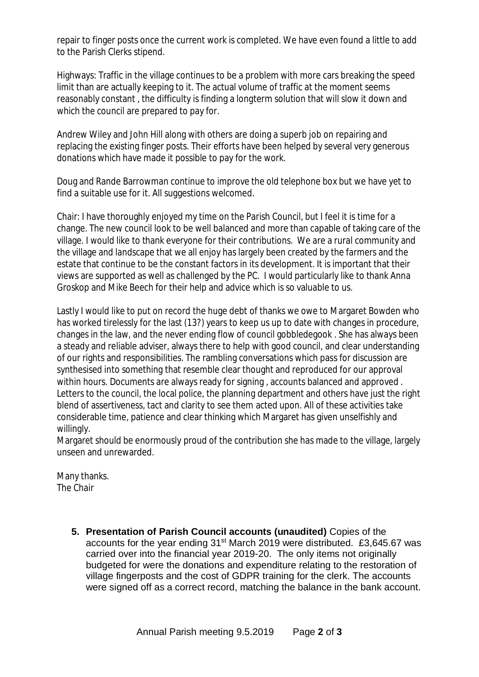repair to finger posts once the current work is completed. We have even found a little to add to the Parish Clerks stipend.

Highways: Traffic in the village continues to be a problem with more cars breaking the speed limit than are actually keeping to it. The actual volume of traffic at the moment seems reasonably constant , the difficulty is finding a longterm solution that will slow it down and which the council are prepared to pay for.

Andrew Wiley and John Hill along with others are doing a superb job on repairing and replacing the existing finger posts. Their efforts have been helped by several very generous donations which have made it possible to pay for the work.

Doug and Rande Barrowman continue to improve the old telephone box but we have yet to find a suitable use for it. All suggestions welcomed.

Chair: I have thoroughly enjoyed my time on the Parish Council, but I feel it is time for a change. The new council look to be well balanced and more than capable of taking care of the village. I would like to thank everyone for their contributions. We are a rural community and the village and landscape that we all enjoy has largely been created by the farmers and the estate that continue to be the constant factors in its development. It is important that their views are supported as well as challenged by the PC. I would particularly like to thank Anna Groskop and Mike Beech for their help and advice which is so valuable to us.

Lastly I would like to put on record the huge debt of thanks we owe to Margaret Bowden who has worked tirelessly for the last (13?) years to keep us up to date with changes in procedure, changes in the law, and the never ending flow of council gobbledegook . She has always been a steady and reliable adviser, always there to help with good council, and clear understanding of our rights and responsibilities. The rambling conversations which pass for discussion are synthesised into something that resemble clear thought and reproduced for our approval within hours. Documents are always ready for signing , accounts balanced and approved . Letters to the council, the local police, the planning department and others have just the right blend of assertiveness, tact and clarity to see them acted upon. All of these activities take considerable time, patience and clear thinking which Margaret has given unselfishly and willingly.

Margaret should be enormously proud of the contribution she has made to the village, largely unseen and unrewarded.

Many thanks. The Chair

> **5. Presentation of Parish Council accounts (unaudited)** Copies of the accounts for the year ending 31st March 2019 were distributed. £3,645.67 was carried over into the financial year 2019-20. The only items not originally budgeted for were the donations and expenditure relating to the restoration of village fingerposts and the cost of GDPR training for the clerk. The accounts were signed off as a correct record, matching the balance in the bank account.